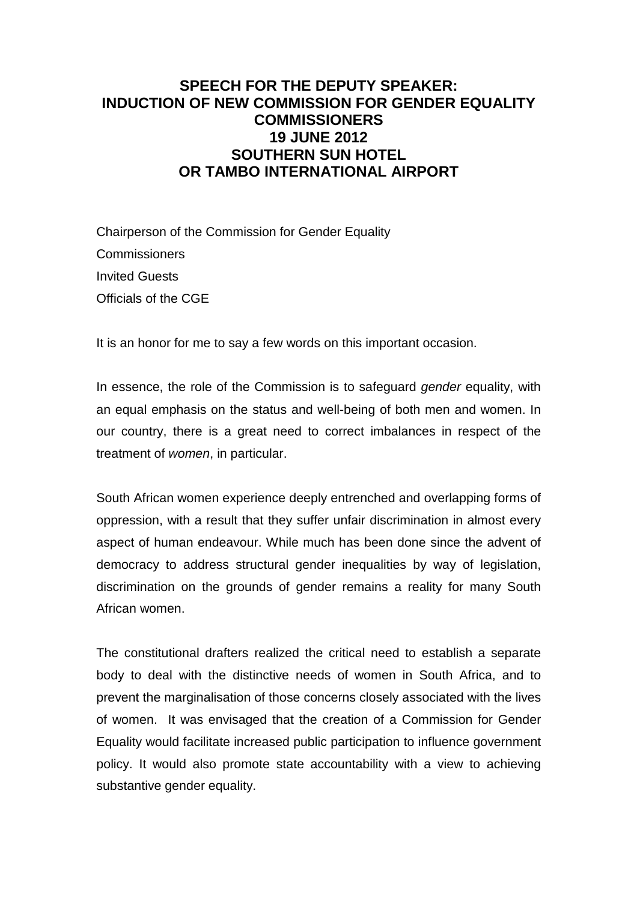## **SPEECH FOR THE DEPUTY SPEAKER: INDUCTION OF NEW COMMISSION FOR GENDER EQUALITY COMMISSIONERS 19 JUNE 2012 SOUTHERN SUN HOTEL OR TAMBO INTERNATIONAL AIRPORT**

Chairperson of the Commission for Gender Equality **Commissioners** Invited Guests Officials of the CGE

It is an honor for me to say a few words on this important occasion.

In essence, the role of the Commission is to safeguard *gender* equality, with an equal emphasis on the status and well-being of both men and women. In our country, there is a great need to correct imbalances in respect of the treatment of women, in particular.

South African women experience deeply entrenched and overlapping forms of oppression, with a result that they suffer unfair discrimination in almost every aspect of human endeavour. While much has been done since the advent of democracy to address structural gender inequalities by way of legislation, discrimination on the grounds of gender remains a reality for many South African women.

The constitutional drafters realized the critical need to establish a separate body to deal with the distinctive needs of women in South Africa, and to prevent the marginalisation of those concerns closely associated with the lives of women. It was envisaged that the creation of a Commission for Gender Equality would facilitate increased public participation to influence government policy. It would also promote state accountability with a view to achieving substantive gender equality.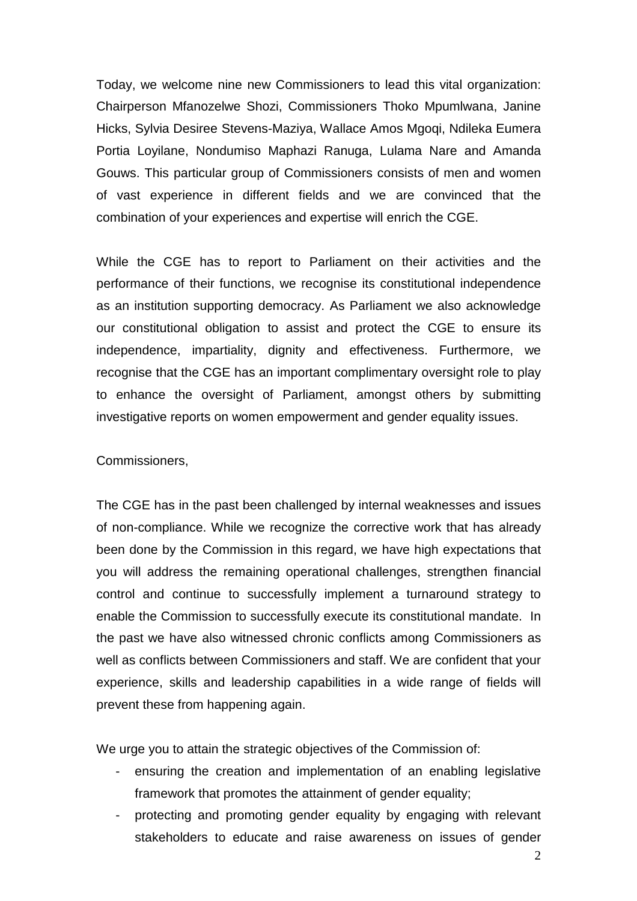Today, we welcome nine new Commissioners to lead this vital organization: Chairperson Mfanozelwe Shozi, Commissioners Thoko Mpumlwana, Janine Hicks, Sylvia Desiree Stevens-Maziya, Wallace Amos Mgoqi, Ndileka Eumera Portia Loyilane, Nondumiso Maphazi Ranuga, Lulama Nare and Amanda Gouws. This particular group of Commissioners consists of men and women of vast experience in different fields and we are convinced that the combination of your experiences and expertise will enrich the CGE.

While the CGE has to report to Parliament on their activities and the performance of their functions, we recognise its constitutional independence as an institution supporting democracy. As Parliament we also acknowledge our constitutional obligation to assist and protect the CGE to ensure its independence, impartiality, dignity and effectiveness. Furthermore, we recognise that the CGE has an important complimentary oversight role to play to enhance the oversight of Parliament, amongst others by submitting investigative reports on women empowerment and gender equality issues.

## Commissioners,

The CGE has in the past been challenged by internal weaknesses and issues of non-compliance. While we recognize the corrective work that has already been done by the Commission in this regard, we have high expectations that you will address the remaining operational challenges, strengthen financial control and continue to successfully implement a turnaround strategy to enable the Commission to successfully execute its constitutional mandate. In the past we have also witnessed chronic conflicts among Commissioners as well as conflicts between Commissioners and staff. We are confident that your experience, skills and leadership capabilities in a wide range of fields will prevent these from happening again.

We urge you to attain the strategic objectives of the Commission of:

- ensuring the creation and implementation of an enabling legislative framework that promotes the attainment of gender equality;
- protecting and promoting gender equality by engaging with relevant stakeholders to educate and raise awareness on issues of gender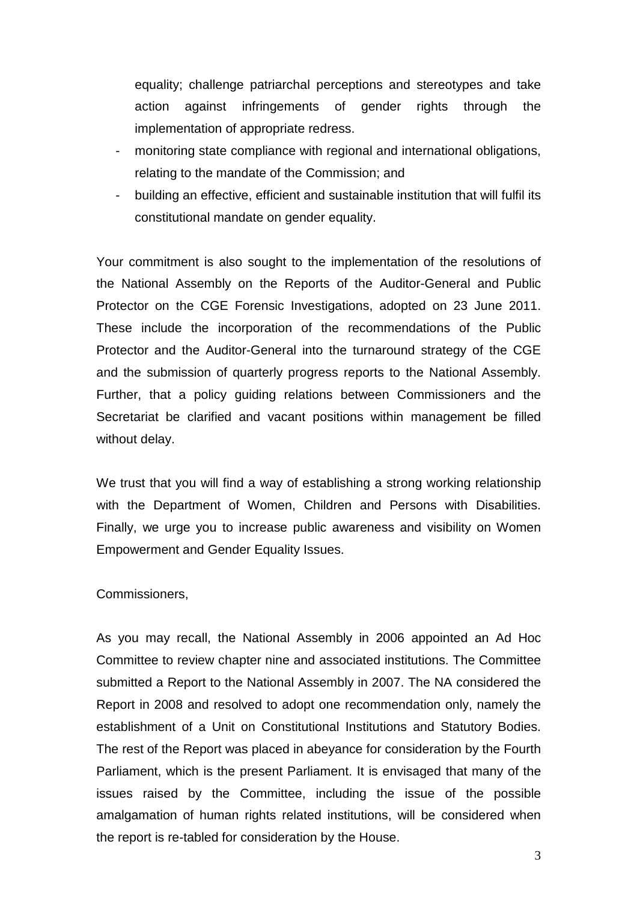equality; challenge patriarchal perceptions and stereotypes and take action against infringements of gender rights through the implementation of appropriate redress.

- monitoring state compliance with regional and international obligations, relating to the mandate of the Commission; and
- building an effective, efficient and sustainable institution that will fulfil its constitutional mandate on gender equality.

Your commitment is also sought to the implementation of the resolutions of the National Assembly on the Reports of the Auditor-General and Public Protector on the CGE Forensic Investigations, adopted on 23 June 2011. These include the incorporation of the recommendations of the Public Protector and the Auditor-General into the turnaround strategy of the CGE and the submission of quarterly progress reports to the National Assembly. Further, that a policy guiding relations between Commissioners and the Secretariat be clarified and vacant positions within management be filled without delay.

We trust that you will find a way of establishing a strong working relationship with the Department of Women, Children and Persons with Disabilities. Finally, we urge you to increase public awareness and visibility on Women Empowerment and Gender Equality Issues.

## Commissioners,

As you may recall, the National Assembly in 2006 appointed an Ad Hoc Committee to review chapter nine and associated institutions. The Committee submitted a Report to the National Assembly in 2007. The NA considered the Report in 2008 and resolved to adopt one recommendation only, namely the establishment of a Unit on Constitutional Institutions and Statutory Bodies. The rest of the Report was placed in abeyance for consideration by the Fourth Parliament, which is the present Parliament. It is envisaged that many of the issues raised by the Committee, including the issue of the possible amalgamation of human rights related institutions, will be considered when the report is re-tabled for consideration by the House.